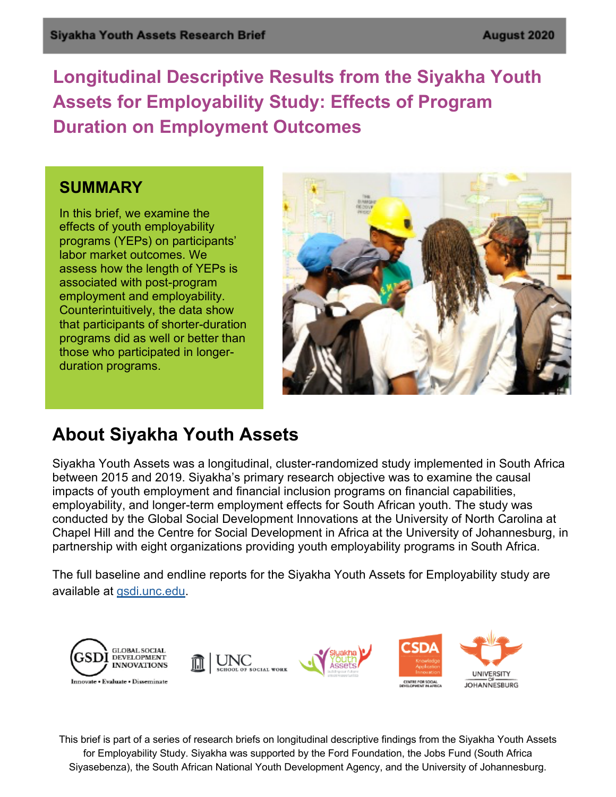**Longitudinal Descriptive Results from the Siyakha Youth Assets for Employability Study: Effects of Program Duration on Employment Outcomes**

#### **SUMMARY**

In this brief, we examine the effects of youth employability programs (YEPs) on participants' labor market outcomes. We assess how the length of YEPs is associated with post-program employment and employability. Counterintuitively, the data show that participants of shorter-duration programs did as well or better than those who participated in longerduration programs.



### **About Siyakha Youth Assets**

Siyakha Youth Assets was a longitudinal, cluster-randomized study implemented in South Africa between 2015 and 2019. Siyakha's primary research objective was to examine the causal impacts of youth employment and financial inclusion programs on financial capabilities, employability, and longer-term employment effects for South African youth. The study was conducted by the Global Social Development Innovations at the University of North Carolina at Chapel Hill and the Centre for Social Development in Africa at the University of Johannesburg, in partnership with eight organizations providing youth employability programs in South Africa.

The full baseline and endline reports for the Siyakha Youth Assets for Employability study are available at gsdi.unc.edu.



This brief is part of a series of research briefs on longitudinal descriptive findings from the Siyakha Youth Assets for Employability Study. Siyakha was supported by the Ford Foundation, the Jobs Fund (South Africa Siyasebenza), the South African National Youth Development Agency, and the University of Johannesburg.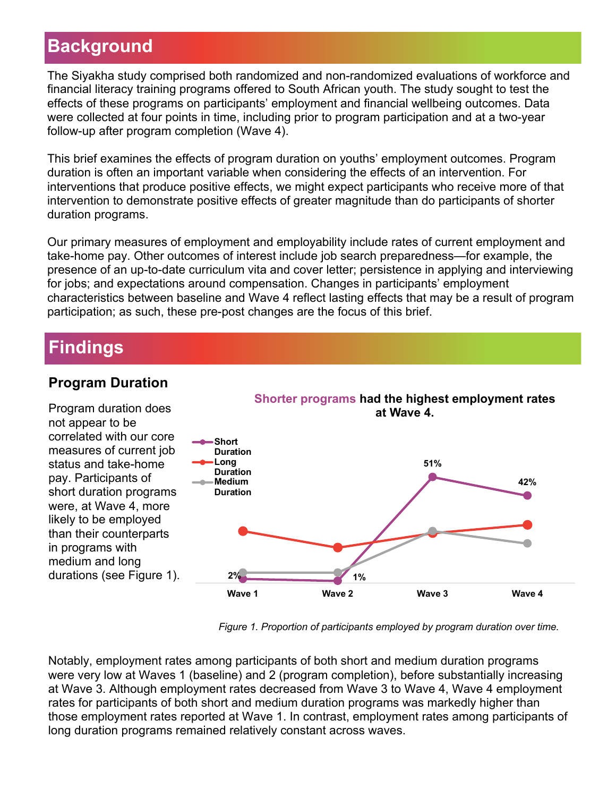# **Background**

The Siyakha study comprised both randomized and non-randomized evaluations of workforce and financial literacy training programs offered to South African youth. The study sought to test the effects of these programs on participants' employment and financial wellbeing outcomes. Data were collected at four points in time, including prior to program participation and at a two-year follow-up after program completion (Wave 4).

This brief examines the effects of program duration on youths' employment outcomes. Program duration is often an important variable when considering the effects of an intervention. For interventions that produce positive effects, we might expect participants who receive more of that intervention to demonstrate positive effects of greater magnitude than do participants of shorter duration programs.

Our primary measures of employment and employability include rates of current employment and take-home pay. Other outcomes of interest include job search preparedness—for example, the presence of an up-to-date curriculum vita and cover letter; persistence in applying and interviewing for jobs; and expectations around compensation. Changes in participants' employment characteristics between baseline and Wave 4 reflect lasting effects that may be a result of program participation; as such, these pre-post changes are the focus of this brief.

## **Findings**

#### **Program Duration**

Program duration does not appear to be correlated with our core measures of current job status and take-home pay. Participants of short duration programs were, at Wave 4, more likely to be employed than their counterparts in programs with medium and long durations (see Figure 1).



*Figure 1. Proportion of participants employed by program duration over time.*

Notably, employment rates among participants of both short and medium duration programs were very low at Waves 1 (baseline) and 2 (program completion), before substantially increasing at Wave 3. Although employment rates decreased from Wave 3 to Wave 4, Wave 4 employment rates for participants of both short and medium duration programs was markedly higher than those employment rates reported at Wave 1. In contrast, employment rates among participants of long duration programs remained relatively constant across waves.